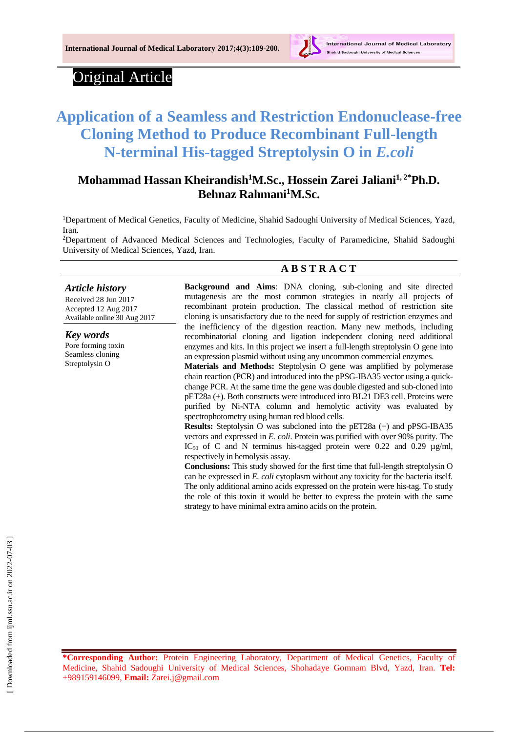

# Original Article

# **Application of a Seamless and Restriction Endonuclease-free Cloning Method to Produce Recombinant Full-length N-terminal His-tagged Streptolysin O in** *E.coli*

# **Mohammad Hassan Kheirandish<sup>1</sup>M.Sc., Hossein Zarei Jaliani1, 2\*Ph.D. Behnaz Rahmani<sup>1</sup>M.Sc.**

<sup>1</sup>Department of Medical Genetics, Faculty of Medicine, Shahid Sadoughi University of Medical Sciences, Yazd, Iran.

<sup>2</sup>Department of Advanced Medical Sciences and Technologies, Faculty of Paramedicine, Shahid Sadoughi University of Medical Sciences, Yazd, Iran.

### **A B S T R A C T**

*Article history* Received 28 Jun 2017 Accepted 12 Aug 2017 Available online 30 Aug 2017

*Key words* Pore forming toxin Seamless cloning Streptolysin O

**Background and Aims**: DNA cloning, sub-cloning and site directed mutagenesis are the most common strategies in nearly all projects of recombinant protein production. The classical method of restriction site cloning is unsatisfactory due to the need for supply of restriction enzymes and the inefficiency of the digestion reaction. Many new methods, including recombinatorial cloning and ligation independent cloning need additional enzymes and kits. In this project we insert a full-length streptolysin O gene into an expression plasmid without using any uncommon commercial enzymes.

**Materials and Methods:** Steptolysin O gene was amplified by polymerase chain reaction (PCR) and introduced into the pPSG-IBA35 vector using a quickchange PCR. At the same time the gene was double digested and sub-cloned into pET28a (+). Both constructs were introduced into BL21 DE3 cell. Proteins were purified by Ni-NTA column and hemolytic activity was evaluated by spectrophotometry using human red blood cells.

**Results:** Steptolysin O was subcloned into the pET28a (+) and pPSG-IBA35 vectors and expressed in *E. coli*. Protein was purified with over 90% purity. The IC<sub>50</sub> of C and N terminus his-tagged protein were 0.22 and 0.29  $\mu$ g/ml, respectively in hemolysis assay.

**Conclusions:** This study showed for the first time that full-length streptolysin O can be expressed in *E. coli* cytoplasm without any toxicity for the bacteria itself. The only additional amino acids expressed on the protein were his-tag. To study the role of this toxin it would be better to express the protein with the same strategy to have minimal extra amino acids on the protein.

**\*Corresponding Author:** Protein Engineering Laboratory, Department of Medical Genetics, Faculty of Medicine, Shahid Sadoughi University of Medical Sciences, Shohadaye Gomnam Blvd, Yazd, Iran. **Tel:**  +989159146099, **Email:** Zarei.j@gmail.com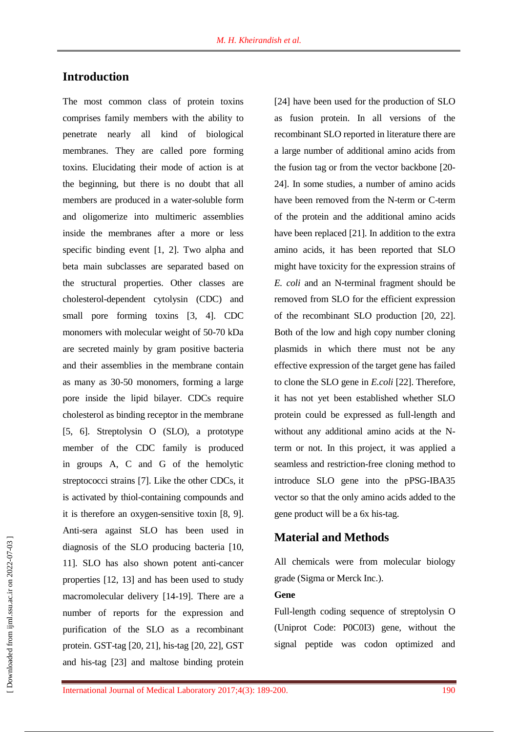## **Introduction**

The most common class of protein toxins comprises family members with the ability to penetrate nearly all kind of biological membranes. They are called pore forming toxins. Elucidating their mode of action is at the beginning, but there is no doubt that all members are produced in a water-soluble form and oligomerize into multimeric assemblies inside the membranes after a more or less specific binding event [1, 2]. Two alpha and beta main subclasses are separated based on the structural properties. Other classes are cholesterol-dependent cytolysin (CDC) and small pore forming toxins [3, 4]. CDC monomers with molecular weight of 50-70 kDa are secreted mainly by gram positive bacteria and their assemblies in the membrane contain as many as 30-50 monomers, forming a large pore inside the lipid bilayer. CDCs require cholesterol as binding receptor in the membrane [5, 6]. Streptolysin O (SLO), a prototype member of the CDC family is produced in groups A, C and G of the hemolytic streptococci strains [7]. Like the other CDCs, it is activated by thiol-containing compounds and it is therefore an oxygen-sensitive toxin [8, 9]. Anti-sera against SLO has been used in diagnosis of the SLO producing bacteria [10, 11]. SLO has also shown potent anti-cancer properties [12, 13] and has been used to study macromolecular delivery [14-19]. There are a number of reports for the expression and purification of the SLO as a recombinant protein. GST-tag [20, 21], his-tag [20, 22], GST and his-tag [23] and maltose binding protein

[24] have been used for the production of SLO as fusion protein. In all versions of the recombinant SLO reported in literature there are a large number of additional amino acids from the fusion tag or from the vector backbone [20- 24]. In some studies, a number of amino acids have been removed from the N-term or C-term of the protein and the additional amino acids have been replaced [21]. In addition to the extra amino acids, it has been reported that SLO might have toxicity for the expression strains of *E. coli* and an N-terminal fragment should be removed from SLO for the efficient expression of the recombinant SLO production [20, 22]. Both of the low and high copy number cloning plasmids in which there must not be any effective expression of the target gene has failed to clone the SLO gene in *E.coli* [22]. Therefore, it has not yet been established whether SLO protein could be expressed as full-length and without any additional amino acids at the Nterm or not. In this project, it was applied a seamless and restriction-free cloning method to introduce SLO gene into the pPSG-IBA35 vector so that the only amino acids added to the gene product will be a 6x his-tag.

### **Material and Methods**

All chemicals were from molecular biology grade (Sigma or Merck Inc.).

### **Gene**

Full-length coding sequence of streptolysin O (Uniprot Code: P0C0I3) gene, without the signal peptide was codon optimized and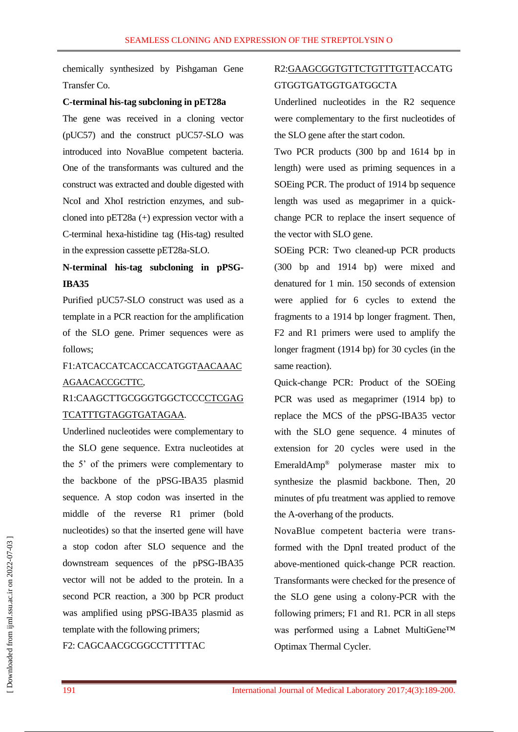chemically synthesized by Pishgaman Gene Transfer Co.

#### **C-terminal his-tag subcloning in pET28a**

The gene was received in a cloning vector (pUC57) and the construct pUC57-SLO was introduced into NovaBlue competent bacteria. One of the transformants was cultured and the construct was extracted and double digested with NcoI and XhoI restriction enzymes, and subcloned into pET28a (+) expression vector with a C-terminal hexa-histidine tag (His-tag) resulted in the expression cassette pET28a-SLO.

# **N-terminal his-tag subcloning in pPSG-IBA35**

Purified pUC57-SLO construct was used as a template in a PCR reaction for the amplification of the SLO gene. Primer sequences were as follows;

# F1:ATCACCATCACCACCATGGTAACAAAC AGAACACCGCTTC,

# R1:CAAGCTTGCGGGTGGCTCCCCTCGAG TCATTTGTAGGTGATAGAA.

Underlined nucleotides were complementary to the SLO gene sequence. Extra nucleotides at the 5' of the primers were complementary to the backbone of the pPSG-IBA35 plasmid sequence. A stop codon was inserted in the middle of the reverse R1 primer (bold nucleotides) so that the inserted gene will have a stop codon after SLO sequence and the downstream sequences of the pPSG-IBA35 vector will not be added to the protein. In a second PCR reaction, a 300 bp PCR product was amplified using pPSG-IBA35 plasmid as template with the following primers;

### F2: CAGCAACGCGGCCTTTTTAC

# R2:GAAGCGGTGTTCTGTTTGTTACCATG GTGGTGATGGTGATGGCTA

Underlined nucleotides in the R2 sequence were complementary to the first nucleotides of the SLO gene after the start codon.

Two PCR products (300 bp and 1614 bp in length) were used as priming sequences in a SOEing PCR. The product of 1914 bp sequence length was used as megaprimer in a quickchange PCR to replace the insert sequence of the vector with SLO gene.

SOEing PCR: Two cleaned-up PCR products (300 bp and 1914 bp) were mixed and denatured for 1 min. 150 seconds of extension were applied for 6 cycles to extend the fragments to a 1914 bp longer fragment. Then, F2 and R1 primers were used to amplify the longer fragment (1914 bp) for 30 cycles (in the same reaction).

Quick-change PCR: Product of the SOEing PCR was used as megaprimer (1914 bp) to replace the MCS of the pPSG-IBA35 vector with the SLO gene sequence. 4 minutes of extension for 20 cycles were used in the EmeraldAmp® polymerase master mix to synthesize the plasmid backbone. Then, 20 minutes of pfu treatment was applied to remove the A-overhang of the products.

NovaBlue competent bacteria were transformed with the DpnI treated product of the above-mentioned quick-change PCR reaction. Transformants were checked for the presence of the SLO gene using a colony-PCR with the following primers; F1 and R1. PCR in all steps was performed using a Labnet MultiGene™ Optimax Thermal Cycler.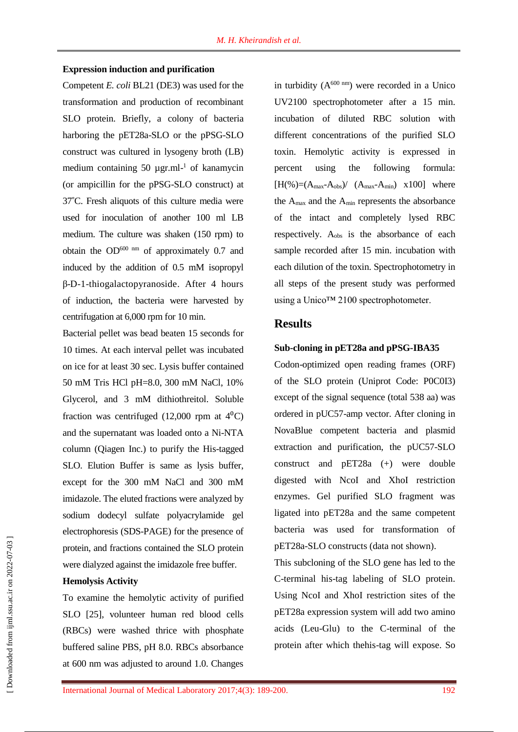#### **Expression induction and purification**

Competent *E. coli* BL21 (DE3) was used for the transformation and production of recombinant SLO protein. Briefly, a colony of bacteria harboring the pET28a-SLO or the pPSG-SLO construct was cultured in lysogeny broth (LB) medium containing 50 µgr.ml<sup>-1</sup> of kanamycin (or ampicillin for the pPSG-SLO construct) at 37˚C. Fresh aliquots of this culture media were used for inoculation of another 100 ml LB medium. The culture was shaken (150 rpm) to obtain the  $OD<sup>600</sup>$  nm of approximately 0.7 and induced by the addition of 0.5 mM isopropyl β-D-1-thiogalactopyranoside. After 4 hours of induction, the bacteria were harvested by centrifugation at 6,000 rpm for 10 min.

Bacterial pellet was bead beaten 15 seconds for 10 times. At each interval pellet was incubated on ice for at least 30 sec. Lysis buffer contained 50 mM Tris HCl pH=8.0, 300 mM NaCl, 10% Glycerol, and 3 mM dithiothreitol. Soluble fraction was centrifuged (12,000 rpm at  $4^0$ C) and the supernatant was loaded onto a Ni-NTA column (Qiagen Inc.) to purify the His-tagged SLO. Elution Buffer is same as lysis buffer, except for the 300 mM NaCl and 300 mM imidazole. The eluted fractions were analyzed by sodium dodecyl sulfate polyacrylamide gel electrophoresis (SDS-PAGE) for the presence of protein, and fractions contained the SLO protein were dialyzed against the imidazole free buffer.

### **Hemolysis Activity**

To examine the hemolytic activity of purified SLO [25], volunteer human red blood cells (RBCs) were washed thrice with phosphate buffered saline PBS, pH 8.0. RBCs absorbance at 600 nm was adjusted to around 1.0. Changes

in turbidity  $(A^{600 \text{ nm}})$  were recorded in a Unico UV2100 spectrophotometer after a 15 min. incubation of diluted RBC solution with different concentrations of the purified SLO toxin. Hemolytic activity is expressed in percent using the following formula:  $[H(\%)=(A_{max}-A_{obs})/ (A_{max}-A_{min}) \times 100]$  where the Amax and the Amin represents the absorbance of the intact and completely lysed RBC respectively. Aobs is the absorbance of each sample recorded after 15 min. incubation with each dilution of the toxin. Spectrophotometry in all steps of the present study was performed using a Unico<sup>™</sup> 2100 spectrophotometer.

### **Results**

### **Sub-cloning in pET28a and pPSG-IBA35**

Codon-optimized open reading frames (ORF) of the SLO protein (Uniprot Code: P0C0I3) except of the signal sequence (total 538 aa) was ordered in pUC57-amp vector. After cloning in NovaBlue competent bacteria and plasmid extraction and purification, the pUC57-SLO construct and pET28a (+) were double digested with NcoI and XhoI restriction enzymes. Gel purified SLO fragment was ligated into pET28a and the same competent bacteria was used for transformation of pET28a-SLO constructs (data not shown).

This subcloning of the SLO gene has led to the C-terminal his-tag labeling of SLO protein. Using NcoI and XhoI restriction sites of the pET28a expression system will add two amino acids (Leu-Glu) to the C-terminal of the protein after which thehis-tag will expose. So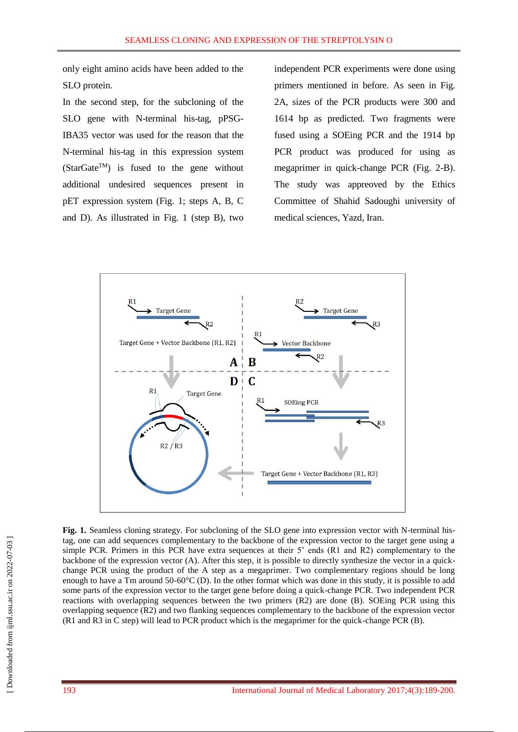only eight amino acids have been added to the SLO protein.

In the second step, for the subcloning of the SLO gene with N-terminal his-tag, pPSG-IBA35 vector was used for the reason that the N-terminal his-tag in this expression system (StarGate<sup>TM</sup>) is fused to the gene without additional undesired sequences present in pET expression system (Fig. 1; steps A, B, C and D). As illustrated in Fig. 1 (step B), two

independent PCR experiments were done using primers mentioned in before. As seen in Fig. 2A, sizes of the PCR products were 300 and 1614 bp as predicted. Two fragments were fused using a SOEing PCR and the 1914 bp PCR product was produced for using as megaprimer in quick-change PCR (Fig. 2-B). The study was appreoved by the Ethics Committee of Shahid Sadoughi university of medical sciences, Yazd, Iran.



Fig. 1. Seamless cloning strategy. For subcloning of the SLO gene into expression vector with N-terminal histag, one can add sequences complementary to the backbone of the expression vector to the target gene using a simple PCR. Primers in this PCR have extra sequences at their 5' ends (R1 and R2) complementary to the backbone of the expression vector (A). After this step, it is possible to directly synthesize the vector in a quickchange PCR using the product of the A step as a megaprimer. Two complementary regions should be long enough to have a Tm around 50-60°C (D). In the other format which was done in this study, it is possible to add some parts of the expression vector to the target gene before doing a quick-change PCR. Two independent PCR reactions with overlapping sequences between the two primers (R2) are done (B). SOEing PCR using this overlapping sequence (R2) and two flanking sequences complementary to the backbone of the expression vector (R1 and R3 in C step) will lead to PCR product which is the megaprimer for the quick-change PCR (B).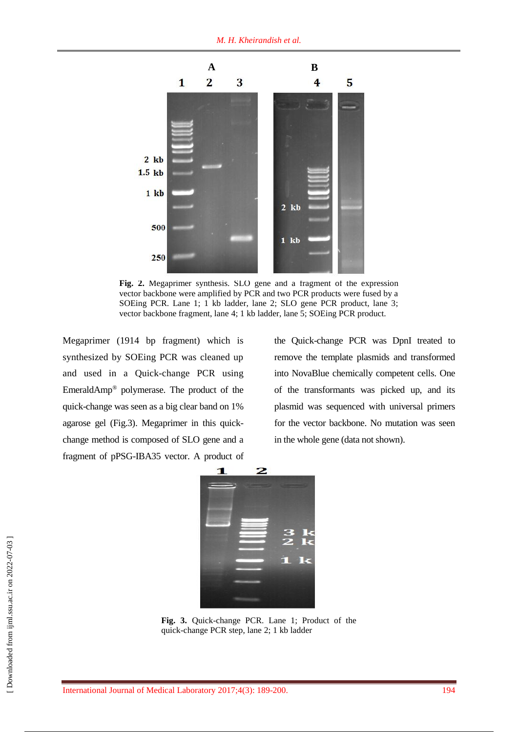

**Fig. 2.** Megaprimer synthesis. SLO gene and a fragment of the expression vector backbone were amplified by PCR and two PCR products were fused by a SOEing PCR. Lane 1; 1 kb ladder, lane 2; SLO gene PCR product, lane 3; vector backbone fragment, lane 4; 1 kb ladder, lane 5; SOEing PCR product.

Megaprimer (1914 bp fragment) which is synthesized by SOEing PCR was cleaned up and used in a Quick-change PCR using EmeraldAmp® polymerase. The product of the quick-change was seen as a big clear band on 1% agarose gel (Fig.3). Megaprimer in this quickchange method is composed of SLO gene and a fragment of pPSG-IBA35 vector. A product of the Quick-change PCR was DpnI treated to remove the template plasmids and transformed into NovaBlue chemically competent cells. One of the transformants was picked up, and its plasmid was sequenced with universal primers for the vector backbone. No mutation was seen in the whole gene (data not shown).



**Fig. 3.** Quick-change PCR. Lane 1; Product of the quick-change PCR step, lane 2; 1 kb ladder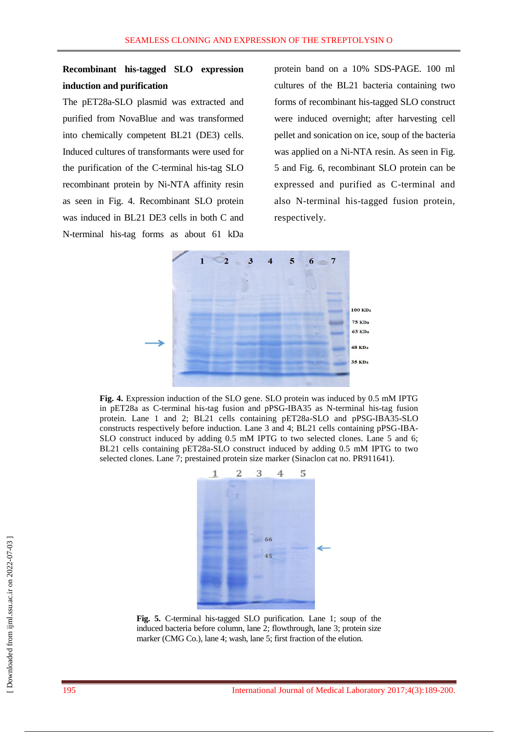# **Recombinant his-tagged SLO expression induction and purification**

The pET28a-SLO plasmid was extracted and purified from NovaBlue and was transformed into chemically competent BL21 (DE3) cells. Induced cultures of transformants were used for the purification of the C-terminal his-tag SLO recombinant protein by Ni-NTA affinity resin as seen in Fig. 4. Recombinant SLO protein was induced in BL21 DE3 cells in both C and N-terminal his-tag forms as about 61 kDa

protein band on a 10% SDS-PAGE. 100 ml cultures of the BL21 bacteria containing two forms of recombinant his-tagged SLO construct were induced overnight; after harvesting cell pellet and sonication on ice, soup of the bacteria was applied on a Ni-NTA resin. As seen in Fig. 5 and Fig. 6, recombinant SLO protein can be expressed and purified as C-terminal and also N-terminal his-tagged fusion protein, respectively.



**Fig. 4.** Expression induction of the SLO gene. SLO protein was induced by 0.5 mM IPTG in pET28a as C-terminal his-tag fusion and pPSG-IBA35 as N-terminal his-tag fusion protein. Lane 1 and 2; BL21 cells containing pET28a-SLO and pPSG-IBA35-SLO constructs respectively before induction. Lane 3 and 4; BL21 cells containing pPSG-IBA-SLO construct induced by adding 0.5 mM IPTG to two selected clones. Lane 5 and 6; BL21 cells containing pET28a-SLO construct induced by adding 0.5 mM IPTG to two selected clones. Lane 7; prestained protein size marker (Sinaclon cat no. PR911641).



**Fig. 5.** C-terminal his-tagged SLO purification. Lane 1; soup of the induced bacteria before column, lane 2; flowthrough, lane 3; protein size marker (CMG Co.), lane 4; wash, lane 5; first fraction of the elution.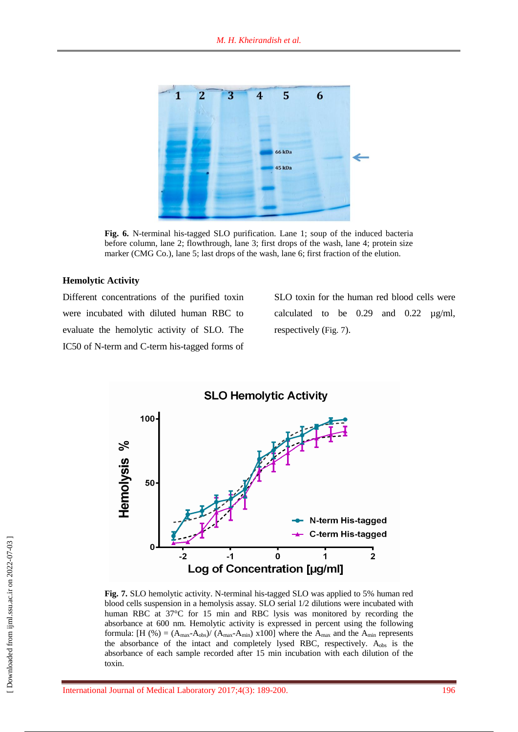

**Fig. 6.** N-terminal his-tagged SLO purification. Lane 1; soup of the induced bacteria before column, lane 2; flowthrough, lane 3; first drops of the wash, lane 4; protein size marker (CMG Co.), lane 5; last drops of the wash, lane 6; first fraction of the elution.

### **Hemolytic Activity**

Different concentrations of the purified toxin were incubated with diluted human RBC to evaluate the hemolytic activity of SLO. The IC50 of N-term and C-term his-tagged forms of

SLO toxin for the human red blood cells were calculated to be  $0.29$  and  $0.22 \mu g/ml$ , respectively (Fig. 7).



**Fig. 7.** SLO hemolytic activity. N-terminal his-tagged SLO was applied to 5% human red blood cells suspension in a hemolysis assay. SLO serial 1/2 dilutions were incubated with human RBC at 37°C for 15 min and RBC lysis was monitored by recording the absorbance at 600 nm. Hemolytic activity is expressed in percent using the following formula:  $[H (%) = (A_{max}-A_{obs})/(A_{max}-A_{min}) \times 100]$  where the  $A_{max}$  and the  $A_{min}$  represents the absorbance of the intact and completely lysed RBC, respectively.  $A_{obs}$  is the absorbance of each sample recorded after 15 min incubation with each dilution of the toxin.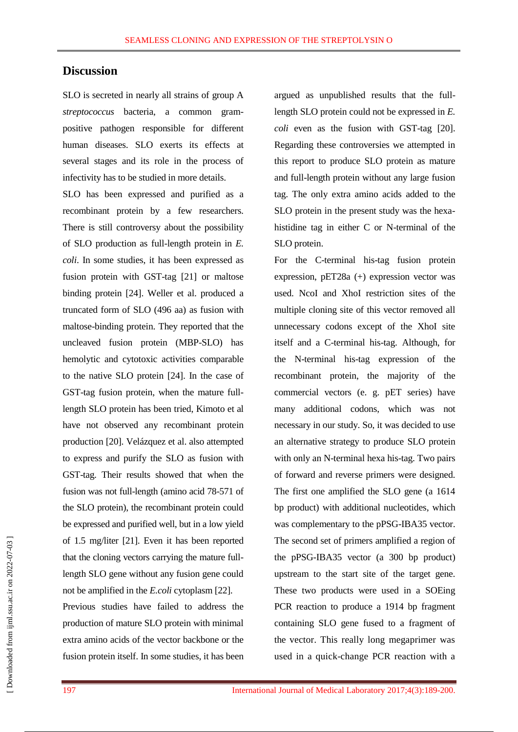## **Discussion**

SLO is secreted in nearly all strains of group A *streptococcus* bacteria, a common grampositive pathogen responsible for different human diseases. SLO exerts its effects at several stages and its role in the process of infectivity has to be studied in more details.

SLO has been expressed and purified as a recombinant protein by a few researchers. There is still controversy about the possibility of SLO production as full-length protein in *E. coli*. In some studies, it has been expressed as fusion protein with GST-tag [21] or maltose binding protein [24]. Weller et al. produced a truncated form of SLO (496 aa) as fusion with maltose-binding protein. They reported that the uncleaved fusion protein (MBP-SLO) has hemolytic and cytotoxic activities comparable to the native SLO protein [24]. In the case of GST-tag fusion protein, when the mature fulllength SLO protein has been tried, Kimoto et al have not observed any recombinant protein production [20]. Velázquez et al. also attempted to express and purify the SLO as fusion with GST-tag. Their results showed that when the fusion was not full-length (amino acid 78-571 of the SLO protein), the recombinant protein could be expressed and purified well, but in a low yield of 1.5 mg/liter [21]. Even it has been reported that the cloning vectors carrying the mature fulllength SLO gene without any fusion gene could not be amplified in the *E.coli* cytoplasm [22].

Previous studies have failed to address the production of mature SLO protein with minimal extra amino acids of the vector backbone or the fusion protein itself. In some studies, it has been argued as unpublished results that the fulllength SLO protein could not be expressed in *E. coli* even as the fusion with GST-tag [20]. Regarding these controversies we attempted in this report to produce SLO protein as mature and full-length protein without any large fusion tag. The only extra amino acids added to the SLO protein in the present study was the hexahistidine tag in either C or N-terminal of the SLO protein.

For the C-terminal his-tag fusion protein expression, pET28a (+) expression vector was used. NcoI and XhoI restriction sites of the multiple cloning site of this vector removed all unnecessary codons except of the XhoI site itself and a C-terminal his-tag. Although, for the N-terminal his-tag expression of the recombinant protein, the majority of the commercial vectors (e. g. pET series) have many additional codons, which was not necessary in our study. So, it was decided to use an alternative strategy to produce SLO protein with only an N-terminal hexa his-tag. Two pairs of forward and reverse primers were designed. The first one amplified the SLO gene (a 1614 bp product) with additional nucleotides, which was complementary to the pPSG-IBA35 vector. The second set of primers amplified a region of the pPSG-IBA35 vector (a 300 bp product) upstream to the start site of the target gene. These two products were used in a SOEing PCR reaction to produce a 1914 bp fragment containing SLO gene fused to a fragment of the vector. This really long megaprimer was used in a quick-change PCR reaction with a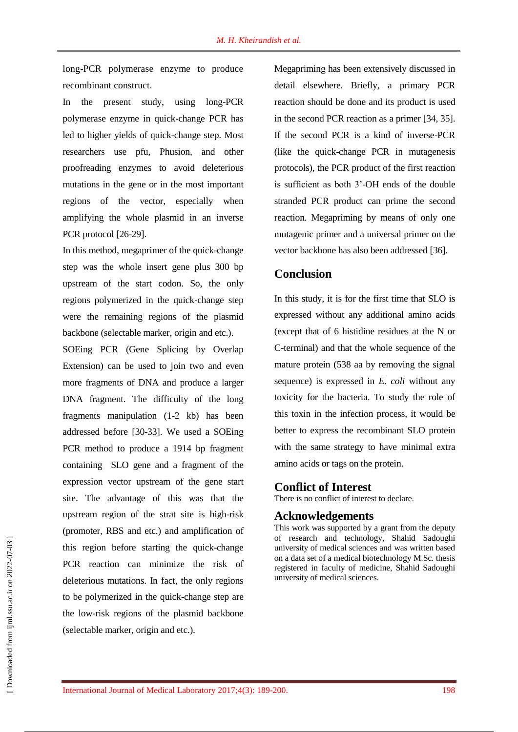long-PCR polymerase enzyme to produce recombinant construct.

In the present study, using long-PCR polymerase enzyme in quick-change PCR has led to higher yields of quick-change step. Most researchers use pfu, Phusion, and other proofreading enzymes to avoid deleterious mutations in the gene or in the most important regions of the vector, especially when amplifying the whole plasmid in an inverse PCR protocol [26-29].

In this method, megaprimer of the quick-change step was the whole insert gene plus 300 bp upstream of the start codon. So, the only regions polymerized in the quick-change step were the remaining regions of the plasmid backbone (selectable marker, origin and etc.).

SOEing PCR (Gene Splicing by Overlap Extension) can be used to join two and even more fragments of DNA and produce a larger DNA fragment. The difficulty of the long fragments manipulation (1-2 kb) has been addressed before [30-33]. We used a SOEing PCR method to produce a 1914 bp fragment containing SLO gene and a fragment of the expression vector upstream of the gene start site. The advantage of this was that the upstream region of the strat site is high-risk (promoter, RBS and etc.) and amplification of this region before starting the quick-change PCR reaction can minimize the risk of deleterious mutations. In fact, the only regions to be polymerized in the quick-change step are the low-risk regions of the plasmid backbone (selectable marker, origin and etc.).

Megapriming has been extensively discussed in detail elsewhere. Briefly, a primary PCR reaction should be done and its product is used in the second PCR reaction as a primer [34, 35]. If the second PCR is a kind of inverse-PCR (like the quick-change PCR in mutagenesis protocols), the PCR product of the first reaction is sufficient as both 3'-OH ends of the double stranded PCR product can prime the second reaction. Megapriming by means of only one mutagenic primer and a universal primer on the vector backbone has also been addressed [36].

### **Conclusion**

In this study, it is for the first time that SLO is expressed without any additional amino acids (except that of 6 histidine residues at the N or C-terminal) and that the whole sequence of the mature protein (538 aa by removing the signal sequence) is expressed in *E. coli* without any toxicity for the bacteria. To study the role of this toxin in the infection process, it would be better to express the recombinant SLO protein with the same strategy to have minimal extra amino acids or tags on the protein.

### **Conflict of Interest**

There is no conflict of interest to declare.

### **Acknowledgements**

This work was supported by a grant from the deputy of research and technology, Shahid Sadoughi university of medical sciences and was written based on a data set of a medical biotechnology M.Sc. thesis registered in faculty of medicine, Shahid Sadoughi university of medical sciences.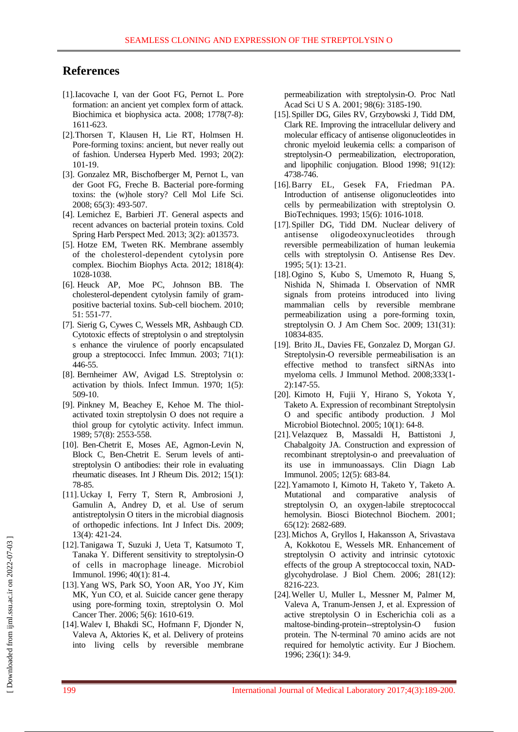# **References**

- [1].Iacovache I, van der Goot FG, Pernot L. Pore formation: an ancient yet complex form of attack. Biochimica et biophysica acta. 2008; 1778(7-8): 1611-623.
- [2][.Thorsen T,](https://www.ncbi.nlm.nih.gov/pubmed/?term=Thorsen%20T%5BAuthor%5D&cauthor=true&cauthor_uid=8392414) [Klausen H,](https://www.ncbi.nlm.nih.gov/pubmed/?term=Klausen%20H%5BAuthor%5D&cauthor=true&cauthor_uid=8392414) [Lie RT,](https://www.ncbi.nlm.nih.gov/pubmed/?term=Lie%20RT%5BAuthor%5D&cauthor=true&cauthor_uid=8392414) [Holmsen H.](https://www.ncbi.nlm.nih.gov/pubmed/?term=Holmsen%20H%5BAuthor%5D&cauthor=true&cauthor_uid=8392414) Pore-forming toxins: ancient, but never really out of fashion. [Undersea Hyperb Med.](https://www.ncbi.nlm.nih.gov/pubmed/?term=Bubble-induced+aggregation+of+platelets%3A+effects+of+gas+species%2C+proteins%2C+and+decompressio) 1993; 20(2): 101-19.
- [3]. Gonzalez MR, Bischofberger M, Pernot L, van der Goot FG, Freche B. Bacterial pore-forming toxins: the (w)hole story? [Cell Mol Life Sci.](https://www.ncbi.nlm.nih.gov/pubmed/?term=Bacterial+pore-forming+toxins%3A+the+%28w%29hole+story) 2008; 65(3): 493-507.
- [4]. Lemichez E, Barbieri JT. General aspects and recent advances on bacterial protein toxins. [Cold](https://www.ncbi.nlm.nih.gov/pubmed/?term=General+aspects+and+recent+advances+on+bacterial+protein+toxins.+Cold+Spring+Harbor+perspectives+in+medic)  [Spring Harb Perspect Med.](https://www.ncbi.nlm.nih.gov/pubmed/?term=General+aspects+and+recent+advances+on+bacterial+protein+toxins.+Cold+Spring+Harbor+perspectives+in+medic) 2013; 3(2): a013573.
- [5]. Hotze EM, Tweten RK. Membrane assembly of the cholesterol-dependent cytolysin pore complex. [Biochim Biophys Acta.](https://www.ncbi.nlm.nih.gov/pubmed/21835159) 2012; 1818(4): 1028-1038.
- [6]. Heuck AP, Moe PC, Johnson BB. The cholesterol-dependent cytolysin family of grampositive bacterial toxins. Sub-cell biochem. 2010; 51: 551-77.
- [7]. Sierig G, Cywes C, Wessels MR, Ashbaugh CD. Cytotoxic effects of streptolysin o and streptolysin s enhance the virulence of poorly encapsulated group a streptococci. Infec Immun. 2003; 71(1): 446-55.
- [8]. Bernheimer AW, Avigad LS. Streptolysin o: activation by thiols. Infect Immun. 1970; 1(5): 509-10.
- [9]. Pinkney M, Beachey E, Kehoe M. The thiolactivated toxin streptolysin O does not require a thiol group for cytolytic activity. Infect immun. 1989; 57(8): 2553-558.
- [10]. Ben-Chetrit E, Moses AE, Agmon-Levin N, Block C, Ben-Chetrit E. Serum levels of antistreptolysin O antibodies: their role in evaluating rheumatic diseases. Int J Rheum Dis. 2012; 15(1): 78-85.
- [11].Uckay I, Ferry T, Stern R, Ambrosioni J, Gamulin A, Andrey D, et al. Use of serum antistreptolysin O titers in the microbial diagnosis of orthopedic infections. Int J Infect Dis. 2009; 13(4): 421-24.
- [12].Tanigawa T, Suzuki J, Ueta T, Katsumoto T, Tanaka Y. Different sensitivity to streptolysin-O of cells in macrophage lineage. Microbiol Immunol. 1996; 40(1): 81-4.
- [13].Yang WS, Park SO, Yoon AR, Yoo JY, Kim MK, Yun CO, et al. Suicide cancer gene therapy using pore-forming toxin, streptolysin O. Mol Cancer Ther. 2006; 5(6): 1610-619.
- [14].Walev I, Bhakdi SC, Hofmann F, Djonder N, Valeva A, Aktories K, et al. Delivery of proteins into living cells by reversible membrane

permeabilization with streptolysin-O. [Proc Natl](https://www.ncbi.nlm.nih.gov/pubmed/11248053)  [Acad Sci U S A.](https://www.ncbi.nlm.nih.gov/pubmed/11248053) 2001; 98(6): 3185-190.

- [15].Spiller DG, Giles RV, Grzybowski J, Tidd DM, Clark RE. Improving the intracellular delivery and molecular efficacy of antisense oligonucleotides in chronic myeloid leukemia cells: a comparison of streptolysin-O permeabilization, electroporation, and lipophilic conjugation. Blood 1998; 91(12): 4738-746.
- [16].Barry EL, Gesek FA, Friedman PA. Introduction of antisense oligonucleotides into cells by permeabilization with streptolysin O. BioTechniques. 1993; 15(6): 1016-1018.
- [17].Spiller DG, Tidd DM. Nuclear delivery of antisense oligodeoxynucleotides through reversible permeabilization of human leukemia cells with streptolysin O. [Antisense Res Dev.](https://www.ncbi.nlm.nih.gov/pubmed/?term=Nuclear+delivery+of+antisense+oligodeoxynucleotides+through+reversible+permeabilization+of+human+leukemia+cells+with+streptolysin+O) 1995; 5(1): 13-21.
- [18].Ogino S, Kubo S, Umemoto R, Huang S, Nishida N, Shimada I. Observation of NMR signals from proteins introduced into living mammalian cells by reversible membrane permeabilization using a pore-forming toxin, streptolysin O. [J Am Chem Soc.](https://www.ncbi.nlm.nih.gov/pubmed/?term=Observation+of+NMR+signals+from+proteins+introduced+into+living+mammalian+cells+by+reversible+membrane+permeabilization+using+a+pore-forming+toxin%2C+streptolysin+O) 2009; 131(31): 10834-835.
- [19]. Brito JL, Davies FE, Gonzalez D, Morgan GJ. Streptolysin-O reversible permeabilisation is an effective method to transfect siRNAs into myeloma cells. J Immunol Method. 2008;333(1- 2):147-55.
- [20]. Kimoto H, Fujii Y, Hirano S, Yokota Y, Taketo A. Expression of recombinant Streptolysin O and specific antibody production. J Mol Microbiol Biotechnol. 2005; 10(1): 64-8.
- [21].Velazquez B, Massaldi H, Battistoni J, Chabalgoity JA. Construction and expression of recombinant streptolysin-o and preevaluation of its use in immunoassays. Clin Diagn Lab Immunol. 2005; 12(5): 683-84.
- [22].Yamamoto I, Kimoto H, Taketo Y, Taketo A. Mutational and comparative analysis of streptolysin O, an oxygen-labile streptococcal hemolysin. Biosci Biotechnol Biochem. 2001; 65(12): 2682-689.
- [23].Michos A, Gryllos I, Hakansson A, Srivastava A, Kokkotou E, Wessels MR. Enhancement of streptolysin O activity and intrinsic cytotoxic effects of the group A streptococcal toxin, NADglycohydrolase. J Biol Chem. 2006; 281(12): 8216-223.
- [24].Weller U, Muller L, Messner M, Palmer M, Valeva A, Tranum-Jensen J, et al. Expression of active streptolysin O in Escherichia coli as a maltose-binding-protein--streptolysin-O fusion protein. The N-terminal 70 amino acids are not required for hemolytic activity. Eur J Biochem. 1996; 236(1): 34-9.